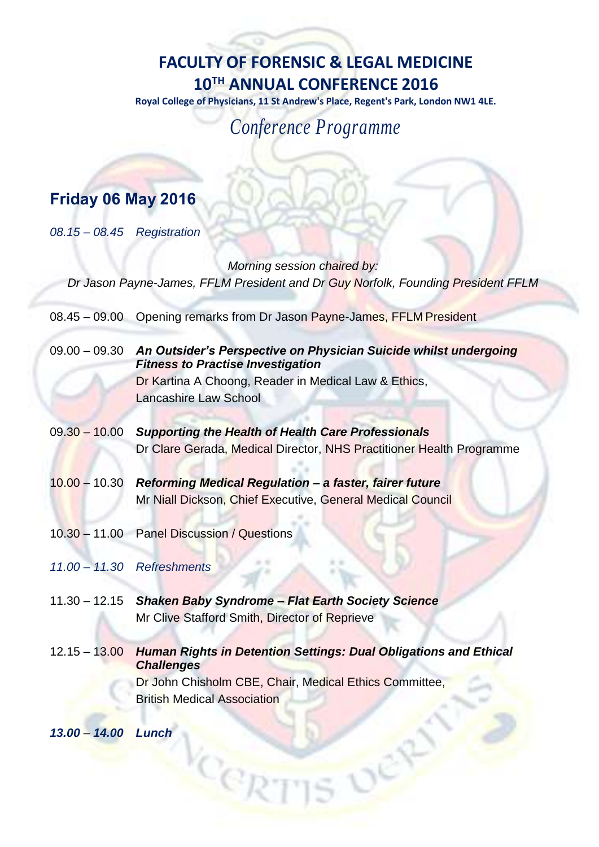## **FACULTY OF FORENSIC & LEGAL MEDICINE 10TH ANNUAL CONFERENCE 2016**

**Royal College of Physicians, 11 St Andrew's Place, Regent's Park, London NW1 4LE.**

*Conference Programme*

## **Friday 06 May 2016**

*08.15* – *08.45 Registration*

*Morning session chaired by: Dr Jason Payne-James, FFLM President and Dr Guy Norfolk, Founding President FFLM*

- 08.45 09.00 Opening remarks from Dr Jason Payne-James, FFLM President
- 09.00 09.30 *An Outsider's Perspective on Physician Suicide whilst undergoing Fitness to Practise Investigation* Dr Kartina A Choong, Reader in Medical Law & Ethics, Lancashire Law School
- 09.30 10.00 *Supporting the Health of Health Care Professionals* Dr Clare Gerada, Medical Director, NHS Practitioner Health Programme
- 10.00 10.30 *Reforming Medical Regulation – a faster, fairer future* Mr Niall Dickson, Chief Executive, General Medical Council
- 10.30 11.00 Panel Discussion / Questions
- *11.00 – 11.30 Refreshments*
- 11.30 12.15 *Shaken Baby Syndrome – Flat Earth Society Science* Mr Clive Stafford Smith, Director of Reprieve

Cep

12.15 – 13.00 *Human Rights in Detention Settings: Dual Obligations and Ethical Challenges* Dr John Chisholm CBE, Chair, Medical Ethics Committee, British Medical Association

*13.00* – *14.00 Lunch*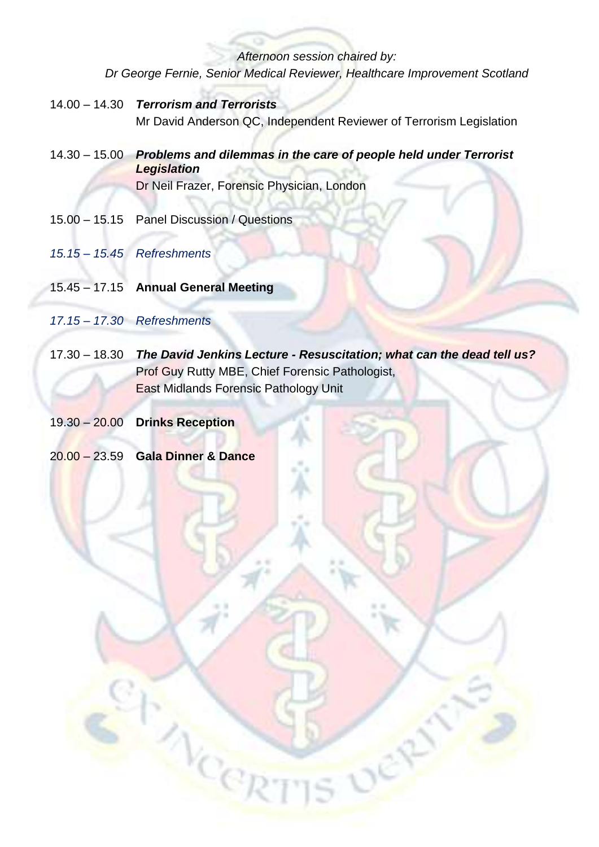*Afternoon session chaired by: Dr George Fernie, Senior Medical Reviewer, Healthcare Improvement Scotland*

- 14.00 14.30 *Terrorism and Terrorists* Mr David Anderson QC, Independent Reviewer of Terrorism Legislation
- 14.30 15.00 *Problems and dilemmas in the care of people held under Terrorist Legislation* Dr Neil Frazer, Forensic Physician, London
- 15.00 15.15 Panel Discussion / Questions
- *15.15 15.45 Refreshments*
- 15.45 17.15 **Annual General Meeting**
- *17.15 17.30 Refreshments*
- 17.30 18.30 *The David Jenkins Lecture - Resuscitation; what can the dead tell us?* Prof Guy Rutty MBE, Chief Forensic Pathologist, East Midlands Forensic Pathology Unit
- 19.30 20.00 **Drinks Reception**
- 20.00 23.59 **Gala Dinner & Dance**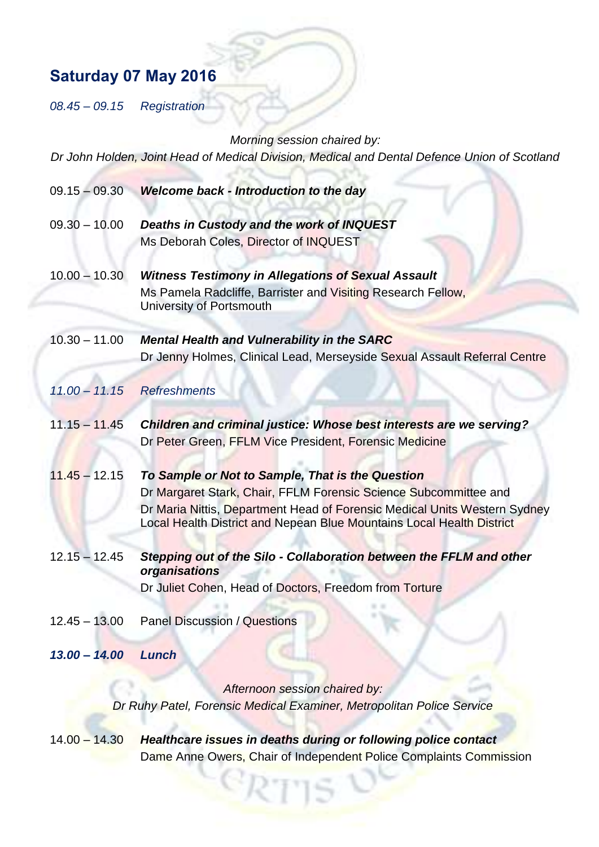## **Saturday 07 May 2016**

*08.45* – *09.15 Registration*

*Morning session chaired by:*

*Dr John Holden, Joint Head of Medical Division, Medical and Dental Defence Union of Scotland* 

| $09.15 - 09.30$ | <b>Welcome back - Introduction to the day</b>                                                                                                                                                                                                                              |
|-----------------|----------------------------------------------------------------------------------------------------------------------------------------------------------------------------------------------------------------------------------------------------------------------------|
| $09.30 - 10.00$ | Deaths in Custody and the work of INQUEST<br>Ms Deborah Coles, Director of INQUEST                                                                                                                                                                                         |
| $10.00 - 10.30$ | <b>Witness Testimony in Allegations of Sexual Assault</b><br>Ms Pamela Radcliffe, Barrister and Visiting Research Fellow,<br>University of Portsmouth                                                                                                                      |
| $10.30 - 11.00$ | <b>Mental Health and Vulnerability in the SARC</b><br>Dr Jenny Holmes, Clinical Lead, Merseyside Sexual Assault Referral Centre                                                                                                                                            |
| $11.00 - 11.15$ | <b>Refreshments</b>                                                                                                                                                                                                                                                        |
| $11.15 - 11.45$ | Children and criminal justice: Whose best interests are we serving?<br>Dr Peter Green, FFLM Vice President, Forensic Medicine                                                                                                                                              |
| $11.45 - 12.15$ | To Sample or Not to Sample, That is the Question<br>Dr Margaret Stark, Chair, FFLM Forensic Science Subcommittee and<br>Dr Maria Nittis, Department Head of Forensic Medical Units Western Sydney<br>Local Health District and Nepean Blue Mountains Local Health District |
| $12.15 - 12.45$ | Stepping out of the Silo - Collaboration between the FFLM and other<br>organisations<br>Dr Juliet Cohen, Head of Doctors, Freedom from Torture                                                                                                                             |
| $12.45 - 13.00$ | <b>Panel Discussion / Questions</b>                                                                                                                                                                                                                                        |
| $13.00 - 14.00$ | Lunch                                                                                                                                                                                                                                                                      |
|                 | Afternoon session chaired by:                                                                                                                                                                                                                                              |
|                 | Dr Ruhy Patel, Forensic Medical Examiner, Metropolitan Police Service                                                                                                                                                                                                      |

14.00 – 14.30 *Healthcare issues in deaths during or following police contact* Dame Anne Owers, Chair of Independent Police Complaints Commission